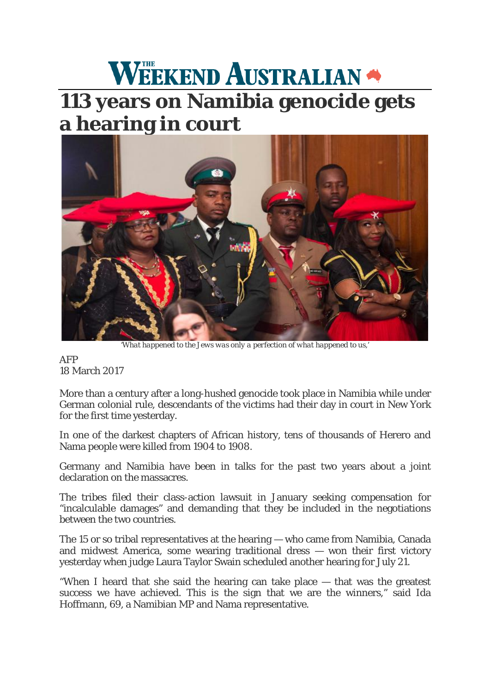## WEEKEND AUSTRALIAN

## **113 years on Namibia genocide gets [a hearing in court](http://cdn.newsapi.com.au/image/v1/38863561ced6ad3b5b77d08c8c94fdf0?width=1024)**



*'What happened to the Jews was only a perfection of what happened to us,'*

AFP 18 March 2017

More than a century after a long-hushed genocide took place in Namibia while under German colonial rule, descendants of the victims had their day in court in New York for the first time yesterday.

In one of the darkest chapters of African history, tens of thousands of Herero and Nama people were killed from 1904 to 1908.

Germany and Namibia have been in talks for the past two years about a joint declaration on the massacres.

The tribes filed their class-action lawsuit in January seeking compensation for "incalculable damages" and demanding that they be included in the negotiations between the two countries.

The 15 or so tribal representatives at the hearing — who came from Namibia, Canada and midwest America, some wearing traditional dress — won their first victory yesterday when judge Laura Taylor Swain scheduled another hearing for July 21.

"When I heard that she said the hearing can take place — that was the greatest success we have achieved. This is the sign that we are the winners," said Ida Hoffmann, 69, a Namibian MP and Nama representative.